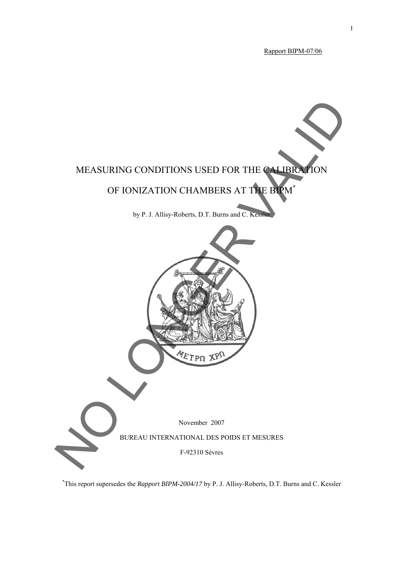Rapport BIPM-07/06



\* This report supersedes the *Rapport BIPM-2004/17* by P. J. Allisy-Roberts, D.T. Burns and C. Kessler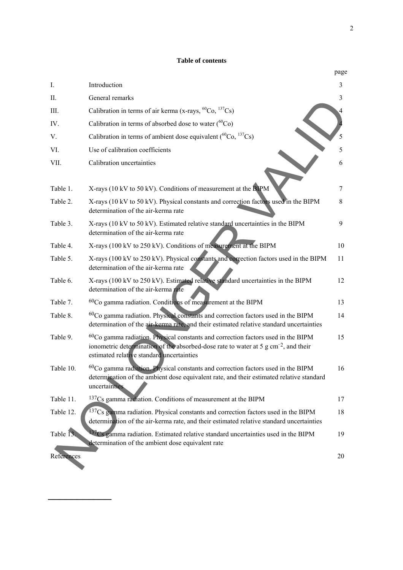#### **Table of contents**

|            |                                                                                                                                                                                                                                    | page |
|------------|------------------------------------------------------------------------------------------------------------------------------------------------------------------------------------------------------------------------------------|------|
| Ι.         | Introduction                                                                                                                                                                                                                       | 3    |
| П.         | General remarks                                                                                                                                                                                                                    | 3    |
| Ш.         | Calibration in terms of air kerma (x-rays, ${}^{60}Co$ , ${}^{137}Cs$ )                                                                                                                                                            | 4    |
| IV.        | Calibration in terms of absorbed dose to water $(^{60}Co)$                                                                                                                                                                         |      |
| V.         | Calibration in terms of ambient dose equivalent $(^{60}Co, ^{137}Cs)$                                                                                                                                                              | 5    |
| VI.        | Use of calibration coefficients                                                                                                                                                                                                    | 5    |
| VII.       | Calibration uncertainties                                                                                                                                                                                                          | 6    |
| Table 1.   | X-rays (10 kV to 50 kV). Conditions of measurement at the BIPM                                                                                                                                                                     | 7    |
| Table 2.   | X-rays (10 kV to 50 kV). Physical constants and correction factors used in the BIPM<br>determination of the air-kerma rate                                                                                                         | 8    |
| Table 3.   | X-rays (10 kV to 50 kV). Estimated relative standard uncertainties in the BIPM<br>determination of the air-kerma rate                                                                                                              | 9    |
| Table 4.   | X-rays (100 kV to 250 kV). Conditions of measurement at the BIPM                                                                                                                                                                   | 10   |
| Table 5.   | X-rays (100 kV to 250 kV). Physical constants and correction factors used in the BIPM<br>determination of the air-kerma rate                                                                                                       | 11   |
| Table 6.   | X-rays (100 kV to 250 kV). Estimated relative standard uncertainties in the BIPM<br>determination of the air-kerma rate                                                                                                            | 12   |
| Table 7.   | <sup>60</sup> Co gamma radiation. Conditions of measurement at the BIPM                                                                                                                                                            | 13   |
| Table 8.   | $60Co$ gamma radiation. Physical constants and correction factors used in the BIPM<br>determination of the air-kerma rate, and their estimated relative standard uncertainties                                                     | 14   |
| Table 9.   | $60Co$ gamma radiation. Physical constants and correction factors used in the BIPM<br>ionometric determination of the absorbed-dose rate to water at 5 g cm <sup>-2</sup> , and their<br>estimated relative standard uncertainties | 15   |
| Table 10.  | $60Co$ gamma radiation. Physical constants and correction factors used in the BIPM<br>determination of the ambient dose equivalent rate, and their estimated relative standard<br>uncertainties                                    | 16   |
| Table 11.  | $137Cs$ gamma radiation. Conditions of measurement at the BIPM                                                                                                                                                                     | 17   |
| Table 12.  | 137Cs gamma radiation. Physical constants and correction factors used in the BIPM<br>determination of the air-kerma rate, and their estimated relative standard uncertainties                                                      | 18   |
| Table 13.  | <sup>37</sup> Cs gamma radiation. Estimated relative standard uncertainties used in the BIPM<br>determination of the ambient dose equivalent rate                                                                                  | 19   |
| References |                                                                                                                                                                                                                                    | 20   |

───────────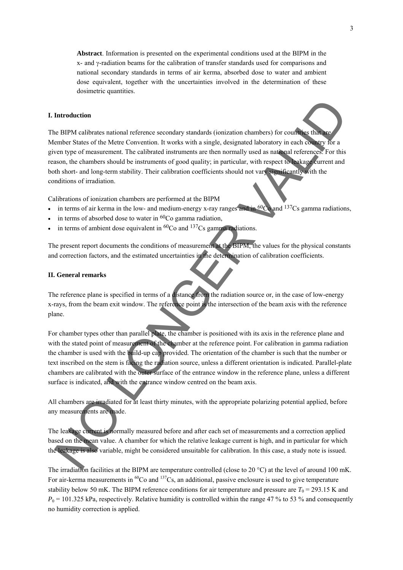**Abstract**. Information is presented on the experimental conditions used at the BIPM in the x- and γ-radiation beams for the calibration of transfer standards used for comparisons and national secondary standards in terms of air kerma, absorbed dose to water and ambient dose equivalent, together with the uncertainties involved in the determination of these dosimetric quantities.

#### **I. Introduction**

The BIPM calibrates national reference secondary standards (ionization chambers) for countries that are Member States of the Metre Convention. It works with a single, designated laboratory in each country for a given type of measurement. The calibrated instruments are then normally used as national references. For this reason, the chambers should be instruments of good quality; in particular, with respect to leakage current and both short- and long-term stability. Their calibration coefficients should not vary significantly with the conditions of irradiation. Introduction<br>
the HPM calibrates national reference secondary standards (ionization chambers) for contract back<br>
ember States of the Mette Convention. It works with a single, designated laboratory in each component<br>
the p

Calibrations of ionization chambers are performed at the BIPM

- in terms of air kerma in the low- and medium-energy x-ray ranges and in  $^{60}$ Co and  $^{137}$ Cs gamma radiations,
- in terms of absorbed dose to water in 60Co gamma radiation,
- in terms of ambient dose equivalent in  ${}^{60}Co$  and  ${}^{137}Cs$  gamma radiations.

The present report documents the conditions of measurement at the BIPM, the values for the physical constants and correction factors, and the estimated uncertainties in the determination of calibration coefficients.

#### **II. General remarks**

The reference plane is specified in terms of a distance from the radiation source or, in the case of low-energy x-rays, from the beam exit window. The reference point is the intersection of the beam axis with the reference plane.

For chamber types other than parallel plate, the chamber is positioned with its axis in the reference plane and with the stated point of measurement of the chamber at the reference point. For calibration in gamma radiation the chamber is used with the build-up cap provided. The orientation of the chamber is such that the number or text inscribed on the stem is facing the radiation source, unless a different orientation is indicated. Parallel-plate chambers are calibrated with the outer surface of the entrance window in the reference plane, unless a different surface is indicated, and with the entrance window centred on the beam axis.

All chambers are irradiated for at least thirty minutes, with the appropriate polarizing potential applied, before any measurements are made.

The leakage current is normally measured before and after each set of measurements and a correction applied based on the mean value. A chamber for which the relative leakage current is high, and in particular for which the leakage is also variable, might be considered unsuitable for calibration. In this case, a study note is issued.

The irradiation facilities at the BIPM are temperature controlled (close to 20 °C) at the level of around 100 mK. For air-kerma measurements in  ${}^{60}Co$  and  ${}^{137}Cs$ , an additional, passive enclosure is used to give temperature stability below 50 mK. The BIPM reference conditions for air temperature and pressure are  $T_0 = 293.15$  K and  $P_0$  = 101.325 kPa, respectively. Relative humidity is controlled within the range 47 % to 53 % and consequently no humidity correction is applied.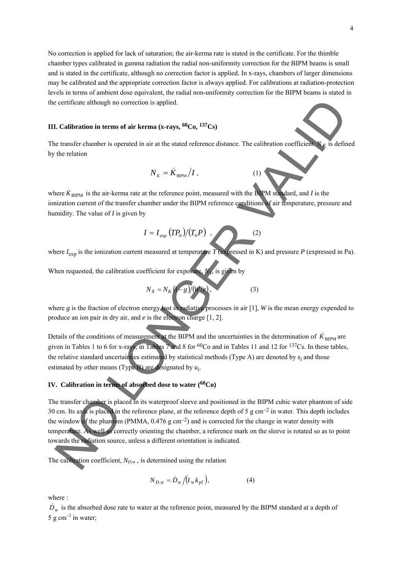No correction is applied for lack of saturation; the air-kerma rate is stated in the certificate. For the thimble chamber types calibrated in gamma radiation the radial non-uniformity correction for the BIPM beams is small and is stated in the certificate, although no correction factor is applied. In x-rays, chambers of larger dimensions may be calibrated and the appropriate correction factor is always applied. For calibrations at radiation-protection levels in terms of ambient dose equivalent, the radial non-uniformity correction for the BIPM beams is stated in the certificate although no correction is applied.

#### **III. Calibration in terms of air kerma (x-rays, 60Co, 137Cs)**

The transfer chamber is operated in air at the stated reference distance. The calibration coefficient  $N_K$  is defined by the relation

$$
N_{K} = \dot{K}_{\text{BIPM}} / I , \qquad (1)
$$

where  $K_{\text{BIPM}}$  is the air-kerma rate at the reference point, measured with the BIPM standard, and *I* is the ionization current of the transfer chamber under the BIPM reference conditions of air temperature, pressure and humidity. The value of *I* is given by

$$
I = I_{\exp} (T P_0) / (T_0 P) , \qquad (2)
$$

where  $I_{\text{evn}}$  is the ionization current measured at temperature  $\hat{T}$  (expressed in K) and pressure  $P$  (expressed in Pa).

When requested, the calibration coefficient for exposure

$$
N_X = N_K \left(1 - g\right) / \left(W / e\right),\tag{3}
$$

where *g* is the fraction of electron energy lost in radiative processes in air [1], *W* is the mean energy expended to produce an ion pair in dry air, and *e* is the electron charge [1, 2].

Details of the conditions of measurement at the BIPM and the uncertainties in the determination of  $\dot{K}_{\text{BIPM}}$  are given in Tables 1 to 6 for x-rays, in Tables 7 and 8 for <sup>60</sup>Co and in Tables 11 and 12 for <sup>137</sup>Cs. In these tables, the relative standard uncertainties estimated by statistical methods (Type A) are denoted by  $s_i$  and those estimated by other means (Type B) are designated by  $u_i$ .

# **IV. Calibration in terms of absorbed dose to water (60Co)**

The transfer chamber is placed in its waterproof sleeve and positioned in the BIPM cubic water phantom of side 30 cm. Its axis is placed in the reference plane, at the reference depth of 5 g cm−2 in water. This depth includes the window of the phantom (PMMA, 0.476 g cm−2) and is corrected for the change in water density with temperature. As well as correctly orienting the chamber, a reference mark on the sleeve is rotated so as to point towards the radiation source, unless a different orientation is indicated. contribute a labough no correction is applied.<br>
L. Calibration in terms of uir kerma (x-rays, <sup>60</sup>Co, <sup>337</sup>Cs)<br>
to transfer chamber is operated in air at the stated reference distance. The calibration coefficiently in def

The calibration coefficient,  $N_{D,w}$ , is determined using the relation

$$
N_{D,\text{w}} = \dot{D}_{\text{w}} / (I_{\text{w}} k_{\text{pf}}),\tag{4}
$$

where :

 $\dot{D}_{\rm w}$  is the absorbed dose rate to water at the reference point, measured by the BIPM standard at a depth of 5 g cm<sup>-2</sup> in water;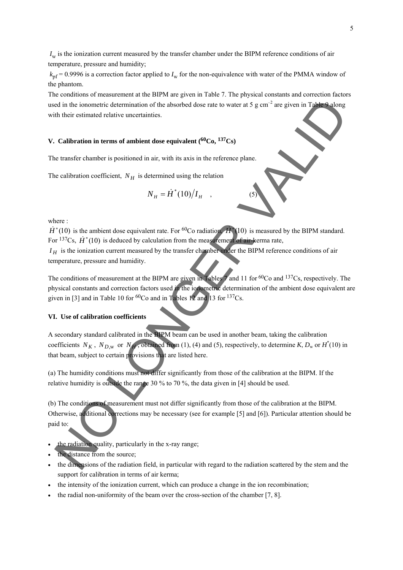$I_w$  is the ionization current measured by the transfer chamber under the BIPM reference conditions of air temperature, pressure and humidity;

 $k<sub>pf</sub> = 0.9996$  is a correction factor applied to  $I<sub>w</sub>$  for the non-equivalence with water of the PMMA window of the phantom.

The conditions of measurement at the BIPM are given in Table 7. The physical constants and correction factors used in the ionometric determination of the absorbed dose rate to water at 5 g cm<sup>-2</sup> are given in Table 9 along with their estimated relative uncertainties.

# **V. Calibration in terms of ambient dose equivalent (60Co, 137Cs)**

The transfer chamber is positioned in air, with its axis in the reference plane.

The calibration coefficient,  $N_H$  is determined using the relation

$$
N_H = \dot{H}^*(10)/I_H \quad , \tag{5}
$$

where :

 $\dot{H}^*(10)$  is the ambient dose equivalent rate. For <sup>60</sup>Co radiation,  $\dot{H}^*(10)$  is measured by the BIPM standard. For <sup>137</sup>Cs,  $\dot{H}^*(10)$  is deduced by calculation from the measurement of air-kerma rate,

 $I_H$  is the ionization current measured by the transfer chamber under the BIPM reference conditions of air temperature, pressure and humidity.

The conditions of measurement at the BIPM are given in Tables 7 and 11 for <sup>60</sup>Co and <sup>137</sup>Cs, respectively. The physical constants and correction factors used in the ionometric determination of the ambient dose equivalent are given in [3] and in Table 10 for  ${}^{60}Co$  and in Tables 12 and 13 for  ${}^{137}Cs$ .

#### **VI. Use of calibration coefficients**

A secondary standard calibrated in the BIPM beam can be used in another beam, taking the calibration coefficients  $N_K$ ,  $N_{D,w}$  or  $N_H$ , obtained from (1), (4) and (5), respectively, to determine K,  $D_w$  or  $H^*(10)$  in that beam, subject to certain provisions that are listed here. ed in the ionometric determination of the absorbed dose rate to water at 5 g cm<sup>-2</sup> are given in Table a dong<br>
of their estimated relative uncertainties<br> **Calibration in terms of ambient dose equivalent (<sup>60</sup>Co, <sup>L37</sup>Cs)<br>** 

(a) The humidity conditions must not differ significantly from those of the calibration at the BIPM. If the relative humidity is outside the range 30 % to 70 %, the data given in [4] should be used.

(b) The conditions of measurement must not differ significantly from those of the calibration at the BIPM. Otherwise, additional corrections may be necessary (see for example [5] and [6]). Particular attention should be paid to:

- the radiation quality, particularly in the x-ray range;
- the distance from the source;
- the dimensions of the radiation field, in particular with regard to the radiation scattered by the stem and the support for calibration in terms of air kerma;
- the intensity of the ionization current, which can produce a change in the ion recombination;
- the radial non-uniformity of the beam over the cross-section of the chamber [7, 8].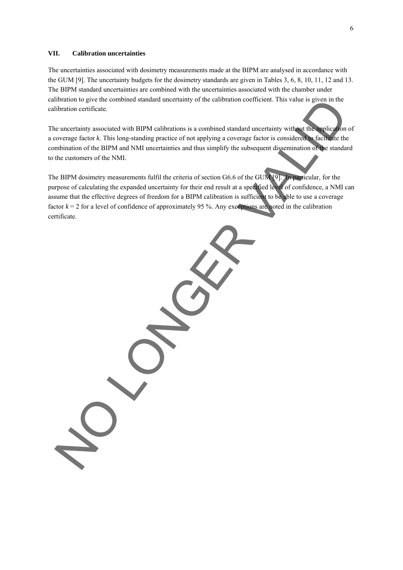#### **VII. Calibration uncertainties**

The uncertainties associated with dosimetry measurements made at the BIPM are analysed in accordance with the GUM [9]. The uncertainty budgets for the dosimetry standards are given in Tables 3, 6, 8, 10, 11, 12 and 13. The BIPM standard uncertainties are combined with the uncertainties associated with the chamber under calibration to give the combined standard uncertainty of the calibration coefficient. This value is given in the calibration certificate.

The uncertainty associated with BIPM calibrations is a combined standard uncertainty without the application of a coverage factor *k*. This long-standing practice of not applying a coverage factor is considered to facilitate the combination of the BIPM and NMI uncertainties and thus simplify the subsequent dissemination of the standard to the customers of the NMI.

The BIPM dosimetry measurements fulfil the criteria of section G6.6 of the GUM [9]. In particular, for the purpose of calculating the expanded uncertainty for their end result at a specified level of confidence, a NMI can assume that the effective degrees of freedom for a BIPM calibration is sufficient to be able to use a coverage factor  $k = 2$  for a level of confidence of approximately 95 %. Any exceptions are noted in the calibration certificate. Intension to give the combined standard uncertainty of the calibration coefficient. This value is given in the<br>the currentiality associated with BIPM calibrations is a combined standard uncertainty without the currentialit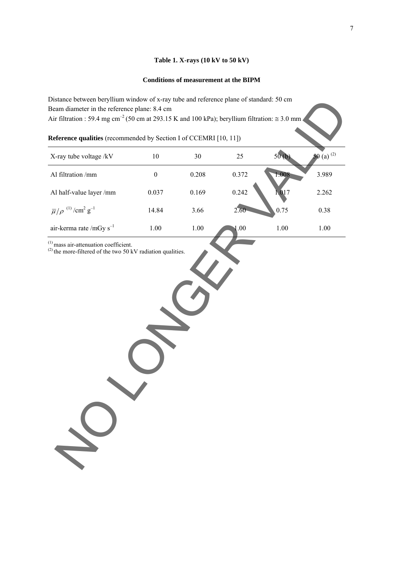# **Table 1. X-rays (10 kV to 50 kV)**

# **Conditions of measurement at the BIPM**

| Distance between beryllium window of x-ray tube and reference plane of standard: 50 cm                            |                  |          |       |       |                 |
|-------------------------------------------------------------------------------------------------------------------|------------------|----------|-------|-------|-----------------|
| Beam diameter in the reference plane: 8.4 cm                                                                      |                  |          |       |       |                 |
| Air filtration : 59.4 mg cm <sup>-2</sup> (50 cm at 293.15 K and 100 kPa); beryllium filtration: $\approx$ 3.0 mm |                  |          |       |       |                 |
| Reference qualities (recommended by Section I of CCEMRI [10, 11])                                                 |                  |          |       |       |                 |
| X-ray tube voltage /kV                                                                                            | $10\,$           | 30       | 25    | 50(b) | 50 (a) $^{(2)}$ |
| Al filtration /mm                                                                                                 | $\boldsymbol{0}$ | 0.208    | 0.372 | 1.008 | 3.989           |
| Al half-value layer /mm                                                                                           | 0.037            | 0.169    | 0.242 | 1,017 | 2.262           |
| $\bar{\mu}/\rho$ <sup>(1)</sup> /cm <sup>2</sup> g <sup>-1</sup>                                                  | 14.84            | 3.66     | 2.60  | 0.75  | 0.38            |
| air-kerma rate /mGy $s^{-1}$                                                                                      | $1.00\,$         | $1.00\,$ | 1.00  | 1.00  | 1.00            |
|                                                                                                                   |                  |          |       |       |                 |
|                                                                                                                   |                  |          |       |       |                 |
|                                                                                                                   |                  |          |       |       |                 |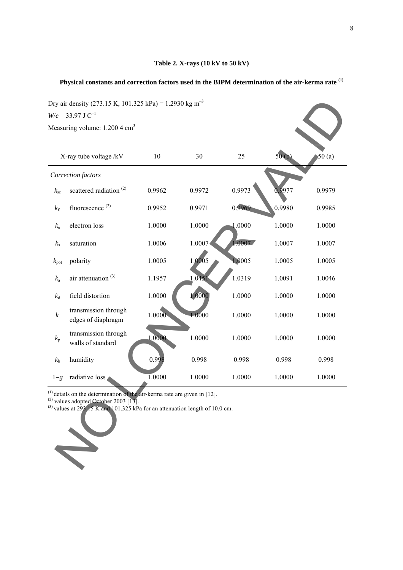### **Table 2. X-rays (10 kV to 50 kV)**

# **Physical constants and correction factors used in the BIPM determination of the air-kerma rate (1)**

|               | X-ray tube voltage /kV                     | 10     | 30     | 25     | 50(b)  | 50(a)  |
|---------------|--------------------------------------------|--------|--------|--------|--------|--------|
|               | Correction factors                         |        |        |        |        |        |
| $k_{\rm sc}$  | scattered radiation <sup>(2)</sup>         | 0.9962 | 0.9972 | 0.9973 | 0.9977 | 0.9979 |
| $k_{\rm fl}$  | fluorescence <sup>(2)</sup>                | 0.9952 | 0.9971 | 0.9969 | 0.9980 | 0.9985 |
| $k_{e}$       | electron loss                              | 1.0000 | 1.0000 | 1.0000 | 1.0000 | 1.0000 |
| $k_{\rm s}$   | saturation                                 | 1.0006 | 1.0007 | 1.0007 | 1.0007 | 1.0007 |
| $k_{\rm pol}$ | polarity                                   | 1.0005 | 1.0005 | 1.0005 | 1.0005 | 1.0005 |
| $k_{\rm a}$   | air attenuation <sup>(3)</sup>             | 1.1957 | 1.0451 | 1.0319 | 1.0091 | 1.0046 |
| $k_d$         | field distortion                           | 1.0000 | 1.0000 | 1.0000 | 1.0000 | 1.0000 |
| $k_1$         | transmission through<br>edges of diaphragm | 1.0000 | 1.0000 | 1.0000 | 1.0000 | 1.0000 |
| $k_{\rm p}$   | transmission through<br>walls of standard  | 1.0000 | 1.0000 | 1.0000 | 1.0000 | 1.0000 |
| $k_{\rm h}$   | humidity                                   | 0.998  | 0.998  | 0.998  | 0.998  | 0.998  |
| $1-g$         | radiative loss                             | 1.0000 | 1.0000 | 1.0000 | 1.0000 | 1.0000 |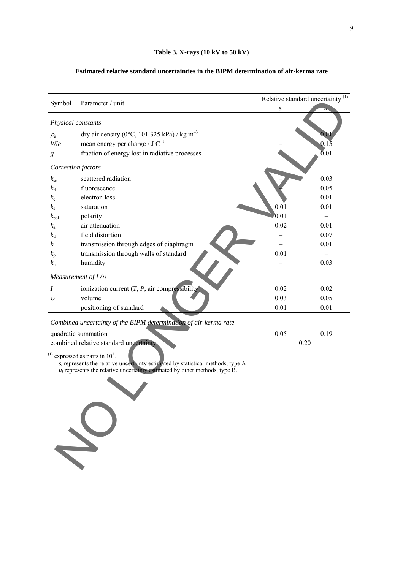### **Estimated relative standard uncertainties in the BIPM determination of air-kerma rate**

|                    |                                                                                                                                                                                                                         | Relative standard uncertainty $\frac{(1)}{(1)}$ |                   |  |  |
|--------------------|-------------------------------------------------------------------------------------------------------------------------------------------------------------------------------------------------------------------------|-------------------------------------------------|-------------------|--|--|
| Symbol             | Parameter / unit                                                                                                                                                                                                        | $S_1$                                           | $u_{i}$           |  |  |
| Physical constants |                                                                                                                                                                                                                         |                                                 |                   |  |  |
| $\rho_{\rm a}$     | dry air density (0°C, 101.325 kPa) / kg m <sup>-3</sup>                                                                                                                                                                 |                                                 |                   |  |  |
| W/e                | mean energy per charge / $J C^{-1}$                                                                                                                                                                                     |                                                 | 0.15              |  |  |
| g                  | fraction of energy lost in radiative processes                                                                                                                                                                          |                                                 | $\overline{0}.01$ |  |  |
| Correction factors |                                                                                                                                                                                                                         |                                                 |                   |  |  |
| $k_{\rm sc}$       | scattered radiation                                                                                                                                                                                                     |                                                 | 0.03              |  |  |
| $k_{\rm fl}$       | fluorescence                                                                                                                                                                                                            |                                                 | 0.05              |  |  |
| $k_{\rm e}$        | electron loss                                                                                                                                                                                                           |                                                 | 0.01              |  |  |
| $k_{\rm s}$        | saturation                                                                                                                                                                                                              | 0.01                                            | 0.01              |  |  |
| $k_{\rm pol}$      | polarity                                                                                                                                                                                                                | 0.01                                            |                   |  |  |
| $k_{\rm a}$        | air attenuation                                                                                                                                                                                                         | 0.02                                            | 0.01              |  |  |
| $k_{\rm d}$        | field distortion                                                                                                                                                                                                        |                                                 | 0.07              |  |  |
| k <sub>1</sub>     | transmission through edges of diaphragm                                                                                                                                                                                 |                                                 | 0.01              |  |  |
| $k_{p}$            | transmission through walls of standard                                                                                                                                                                                  | 0.01                                            |                   |  |  |
| $k_{\rm h}$        | humidity                                                                                                                                                                                                                |                                                 | 0.03              |  |  |
|                    | Measurement of $I/v$                                                                                                                                                                                                    |                                                 |                   |  |  |
| I                  | ionization current $(T, P, \text{air compressibility})$                                                                                                                                                                 | 0.02                                            | 0.02              |  |  |
| $\upsilon$         | volume                                                                                                                                                                                                                  | 0.03                                            | 0.05              |  |  |
|                    | positioning of standard                                                                                                                                                                                                 | 0.01                                            | 0.01              |  |  |
|                    | Combined uncertainty of the BIPM determination of air-kerma rate                                                                                                                                                        |                                                 |                   |  |  |
|                    | quadratic summation                                                                                                                                                                                                     | 0.05                                            | 0.19              |  |  |
|                    | combined relative standard uncertainty                                                                                                                                                                                  |                                                 | 0.20              |  |  |
|                    | $^{(1)}$ expressed as parts in 10 <sup>2</sup> .<br>$s_i$ represents the relative uncertainty estimated by statistical methods, type A<br>$u_i$ represents the relative uncertainty estimated by other methods, type B. |                                                 |                   |  |  |

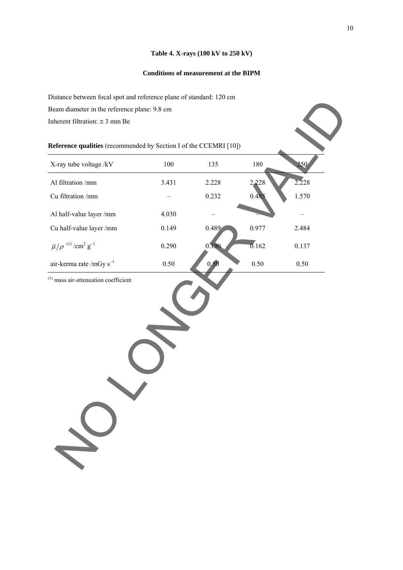### **Table 4. X-rays (100 kV to 250 kV)**

### **Conditions of measurement at the BIPM**

Distance between focal spot and reference plane of standard: 120 cm Beam diameter in the reference plane: 9.8 cm

| Reference qualities (recommended by Section I of the CCEMRI [10]) |  |  |  |
|-------------------------------------------------------------------|--|--|--|
|-------------------------------------------------------------------|--|--|--|

| Distance between focal spot and reference plane of standard. 120 cm |          |       |          |       |
|---------------------------------------------------------------------|----------|-------|----------|-------|
| Beam diameter in the reference plane: 9.8 cm                        |          |       |          |       |
| Inherent filtration: $\approx$ 3 mm Be                              |          |       |          |       |
|                                                                     |          |       |          |       |
| Reference qualities (recommended by Section I of the CCEMRI [10])   |          |       |          |       |
| X-ray tube voltage /kV                                              | 100      | 135   | 180      | 250   |
| Al filtration /mm                                                   | 3.431    | 2.228 | 2,228    | 2.228 |
| Cu filtration /mm                                                   |          | 0.232 | 0.48:    | 1.570 |
| Al half-value layer /mm                                             | 4.030    |       |          |       |
| Cu half-value layer /mm                                             | 0.149    | 0.489 | 0.977    | 2.484 |
| $\overline{\mu}/\rho$ $^{(1)}$ /cm² $g^{-1}$                        | 0.290    | 0.190 | 0.162    | 0.137 |
| air-kerma rate /mGy $s^{-1}$                                        | $0.50\,$ | 0,50  | $0.50\,$ | 0.50  |
|                                                                     |          |       |          |       |
|                                                                     |          |       |          |       |
|                                                                     |          |       |          |       |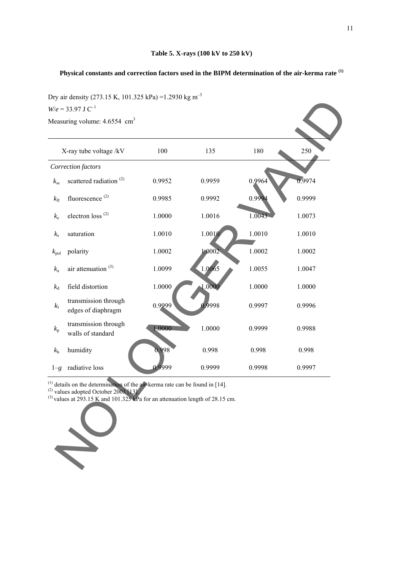### **Table 5. X-rays (100 kV to 250 kV)**

# **Physical constants and correction factors used in the BIPM determination of the air-kerma rate (1)**

Dry air density (273.15 K, 101.325 kPa) =1.2930 kg m<sup>-3</sup>

|               | Dry an density (279.19 K, 101.929 Kr a) 1.2990 Kg in<br>$W/e = 33.97$ J C <sup>-1</sup><br>Measuring volume: 4.6554 cm <sup>3</sup>                                                                                         |        |        |        |        |
|---------------|-----------------------------------------------------------------------------------------------------------------------------------------------------------------------------------------------------------------------------|--------|--------|--------|--------|
|               | X-ray tube voltage /kV                                                                                                                                                                                                      | 100    | 135    | 180    | 250    |
|               | Correction factors                                                                                                                                                                                                          |        |        |        |        |
| $k_{\rm sc}$  | scattered radiation <sup>(2)</sup>                                                                                                                                                                                          | 0.9952 | 0.9959 | 0.9964 | 0.9974 |
| $k_{\rm fl}$  | fluorescence <sup>(2)</sup>                                                                                                                                                                                                 | 0.9985 | 0.9992 | 0.9994 | 0.9999 |
| $k_{e}$       | electron loss <sup>(2)</sup>                                                                                                                                                                                                | 1.0000 | 1.0016 | 1.0043 | 1.0073 |
| $k_{\rm s}$   | saturation                                                                                                                                                                                                                  | 1.0010 | 1.0010 | 1.0010 | 1.0010 |
| $k_{\rm pol}$ | polarity                                                                                                                                                                                                                    | 1.0002 | 1.0002 | 1.0002 | 1.0002 |
| $k_{\rm a}$   | air attenuation <sup>(3)</sup>                                                                                                                                                                                              | 1.0099 | 1.0065 | 1.0055 | 1.0047 |
| $k_{\rm d}$   | field distortion                                                                                                                                                                                                            | 1.0000 | 1.0000 | 1.0000 | 1.0000 |
| $k_1$         | transmission through<br>edges of diaphragm                                                                                                                                                                                  | 0.9999 | 0.9998 | 0.9997 | 0.9996 |
| $k_{\rm p}$   | transmission through<br>walls of standard                                                                                                                                                                                   | 1.0000 | 1.0000 | 0.9999 | 0.9988 |
| $k_{\rm h}$   | humidity                                                                                                                                                                                                                    | 0.998  | 0.998  | 0.998  | 0.998  |
| $1-g$         | radiative loss                                                                                                                                                                                                              | 0.9999 | 0.9999 | 0.9998 | 0.9997 |
|               | $^{(1)}$ details on the determination of the air-kerma rate can be found in [14].<br>$^{(2)}$ values adopted October 2003 [13].<br><sup>(3)</sup> values at 293.15 K and 101.325 kPa for an attenuation length of 28.15 cm. |        |        |        |        |

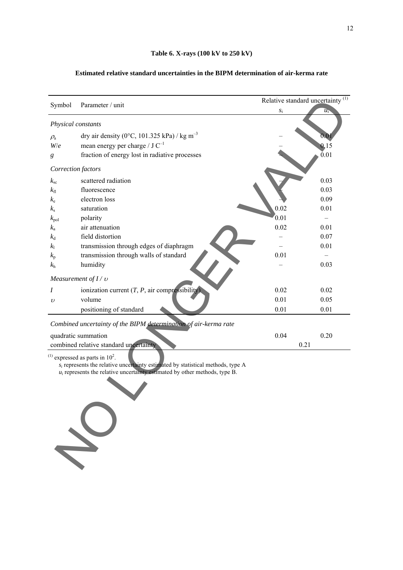#### **Table 6. X-rays (100 kV to 250 kV)**

# Relative standard uncertainty  $\frac{(1)}{(1)}$ Symbol Parameter / unit  $s_i$  *u*<sub>i</sub> *Physical constants*   $\rho_a$  dry air density (0°C, 101.325 kPa) / kg m<sup>-3</sup> *W/e* mean energy per charge / J  $C^{-1}$  – 0.15 *g* fraction of energy lost in radiative processes  $0.01$ *Correction factors*   $k_{\rm sc}$  scattered radiation  $0.03$  $k_{\rm fl}$  fluorescence  $0.03$  $k_e$  electron loss  $0.09$  $k_s$  saturation 0.02 0.01  $k_{pol}$  polarity  $\sim$  0.01 –  $k_a$  air attenuation 0.02 0.01  $k_d$  field distortion  $\overline{a}$  6.07 *k*<sub>l</sub> transmission through edges of diaphragm – 0.01  $k_p$  transmission through walls of standard  $0.01$  –  $k_h$  humidity – 0.03 *Measurement of I /* <sup>υ</sup> *I* ionization current  $(T, P, \text{air compressibility})$  0.02 0.02 v volume  $0.01$  0.05 positioning of standard 0.01 0.01 0.01 *Combined uncertainty of the BIPM determination of air-kerma rate*  quadratic summation 0.04 0.20 combined relative standard uncertainty 0.21 bysical constants<br>  $\alpha_{\text{cyl}}$  and constants<br>  $\alpha_{\text{cyl}}$  and constants<br>  $\alpha_{\text{cyl}}$  and constants<br>  $\alpha_{\text{cyl}}$  mean energy per charge  $iJ$  C<sup>+</sup><br>
fraction of energy best in radiative processes<br>  $\alpha_{\text{cyl}}$  scattered radia

#### **Estimated relative standard uncertainties in the BIPM determination of air-kerma rate**

 $^{(1)}$  expressed as parts in  $10<sup>2</sup>$ .

 $s_i$  represents the relative uncertainty estimated by statistical methods, type A

 $u_i$  represents the relative uncertainty estimated by other methods, type B.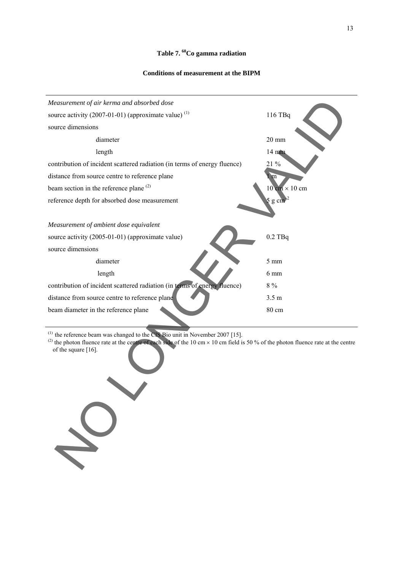### **Table 7. 60Co gamma radiation**

13

#### **Conditions of measurement at the BIPM**



 $(1)$  the reference beam was changed to the CIS Bio unit in November 2007 [15].

(2) the photon fluence rate at the centre of each side of the 10 cm  $\times$  10 cm field is 50 % of the photon fluence rate at the centre of the square [16].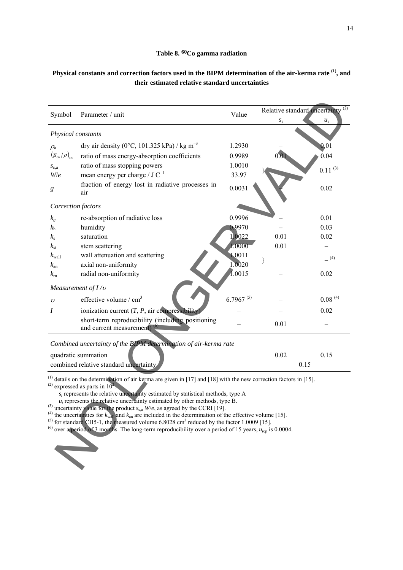### **Table 8. 60Co gamma radiation**

# **Physical constants and correction factors used in the BIPM determination of the air-kerma rate (1), and their estimated relative standard uncertainties**

| Symbol                                                                                                                                                                                                                                                                                                                                                                                                                                                                                                                                                                                                                                                                                                                                                                                                                             | Parameter / unit                                                              | Value          | Relative standard uncertainty <sup>(2)</sup> |              |  |
|------------------------------------------------------------------------------------------------------------------------------------------------------------------------------------------------------------------------------------------------------------------------------------------------------------------------------------------------------------------------------------------------------------------------------------------------------------------------------------------------------------------------------------------------------------------------------------------------------------------------------------------------------------------------------------------------------------------------------------------------------------------------------------------------------------------------------------|-------------------------------------------------------------------------------|----------------|----------------------------------------------|--------------|--|
|                                                                                                                                                                                                                                                                                                                                                                                                                                                                                                                                                                                                                                                                                                                                                                                                                                    |                                                                               |                | $S_1$                                        | $u_i$        |  |
| Physical constants                                                                                                                                                                                                                                                                                                                                                                                                                                                                                                                                                                                                                                                                                                                                                                                                                 |                                                                               |                |                                              |              |  |
| $\rho_{\rm a}$                                                                                                                                                                                                                                                                                                                                                                                                                                                                                                                                                                                                                                                                                                                                                                                                                     | dry air density (0°C, 101.325 kPa) / kg m <sup>-3</sup>                       | 1.2930         |                                              | 0.01         |  |
| $\left(\overline{\mu}_{\textrm{\tiny en}}/\rho\right)_{\textrm{\tiny a,c}}$                                                                                                                                                                                                                                                                                                                                                                                                                                                                                                                                                                                                                                                                                                                                                        | ratio of mass energy-absorption coefficients                                  | 0.9989         |                                              | 0.04         |  |
| $S_{c,a}$                                                                                                                                                                                                                                                                                                                                                                                                                                                                                                                                                                                                                                                                                                                                                                                                                          | ratio of mass stopping powers                                                 | 1.0010         |                                              | $0.11^{(3)}$ |  |
| W/e                                                                                                                                                                                                                                                                                                                                                                                                                                                                                                                                                                                                                                                                                                                                                                                                                                | mean energy per charge / $J C^{-1}$                                           | 33.97          |                                              |              |  |
| g                                                                                                                                                                                                                                                                                                                                                                                                                                                                                                                                                                                                                                                                                                                                                                                                                                  | fraction of energy lost in radiative processes in<br>air                      | 0.0031         |                                              | 0.02         |  |
| Correction factors                                                                                                                                                                                                                                                                                                                                                                                                                                                                                                                                                                                                                                                                                                                                                                                                                 |                                                                               |                |                                              |              |  |
| $k_{g}$                                                                                                                                                                                                                                                                                                                                                                                                                                                                                                                                                                                                                                                                                                                                                                                                                            | re-absorption of radiative loss                                               | 0.9996         |                                              | 0.01         |  |
| $k_{\rm h}$                                                                                                                                                                                                                                                                                                                                                                                                                                                                                                                                                                                                                                                                                                                                                                                                                        | humidity                                                                      | 0.9970         |                                              | 0.03         |  |
| $k_{\rm s}$                                                                                                                                                                                                                                                                                                                                                                                                                                                                                                                                                                                                                                                                                                                                                                                                                        | saturation                                                                    | 1.0022         | 0.01                                         | 0.02         |  |
| $k_{\rm st}$                                                                                                                                                                                                                                                                                                                                                                                                                                                                                                                                                                                                                                                                                                                                                                                                                       | stem scattering                                                               | 1.0000         | 0.01                                         |              |  |
| $k_{\text{wall}}$                                                                                                                                                                                                                                                                                                                                                                                                                                                                                                                                                                                                                                                                                                                                                                                                                  | wall attenuation and scattering                                               | 1.0011         |                                              | $=$ (4)      |  |
| $k_{\rm an}$                                                                                                                                                                                                                                                                                                                                                                                                                                                                                                                                                                                                                                                                                                                                                                                                                       | axial non-uniformity                                                          | 1.0020         |                                              |              |  |
| $k_{\rm rn}$                                                                                                                                                                                                                                                                                                                                                                                                                                                                                                                                                                                                                                                                                                                                                                                                                       | radial non-uniformity                                                         | 1.0015         |                                              | 0.02         |  |
|                                                                                                                                                                                                                                                                                                                                                                                                                                                                                                                                                                                                                                                                                                                                                                                                                                    | Measurement of $I/v$                                                          |                |                                              |              |  |
| $\upsilon$                                                                                                                                                                                                                                                                                                                                                                                                                                                                                                                                                                                                                                                                                                                                                                                                                         | effective volume / cm <sup>3</sup>                                            | $6.7967^{(5)}$ |                                              | $0.08^{(4)}$ |  |
| Ι                                                                                                                                                                                                                                                                                                                                                                                                                                                                                                                                                                                                                                                                                                                                                                                                                                  | ionization current $(T, P, \text{air compressibility})$                       |                |                                              | 0.02         |  |
|                                                                                                                                                                                                                                                                                                                                                                                                                                                                                                                                                                                                                                                                                                                                                                                                                                    | short-term reproducibility (including positioning<br>and current measurement) |                | 0.01                                         |              |  |
|                                                                                                                                                                                                                                                                                                                                                                                                                                                                                                                                                                                                                                                                                                                                                                                                                                    | Combined uncertainty of the BIPM determination of air-kerma rate              |                |                                              |              |  |
|                                                                                                                                                                                                                                                                                                                                                                                                                                                                                                                                                                                                                                                                                                                                                                                                                                    | quadratic summation                                                           |                | 0.02                                         | 0.15         |  |
|                                                                                                                                                                                                                                                                                                                                                                                                                                                                                                                                                                                                                                                                                                                                                                                                                                    | combined relative standard uncertainty                                        |                | 0.15                                         |              |  |
|                                                                                                                                                                                                                                                                                                                                                                                                                                                                                                                                                                                                                                                                                                                                                                                                                                    |                                                                               |                |                                              |              |  |
| <sup>(1)</sup> details on the determination of air kerma are given in [17] and [18] with the new correction factors in [15].<br>$^{(2)}$ expressed as parts in $102$ .<br>$s_i$ represents the relative uncertainty estimated by statistical methods, type A<br>$u_i$ represents the relative uncertainty estimated by other methods, type B.<br><sup>(3)</sup> uncertainty value for the product $s_{c,a}$ W/e, as agreed by the CCRI [19].<br><sup>(4)</sup> the uncertainties for $k_{wall}$ and $k_{an}$ are included in the determination of the effective volume [15].<br><sup>(5)</sup> for standard CH5-1, the measured volume 6.8028 cm <sup>3</sup> reduced by the factor 1.0009 [15].<br><sup>(6)</sup> over a period of 3 months. The long-term reproducibility over a period of 15 years, $u_{\text{rep}}$ is 0.0004. |                                                                               |                |                                              |              |  |

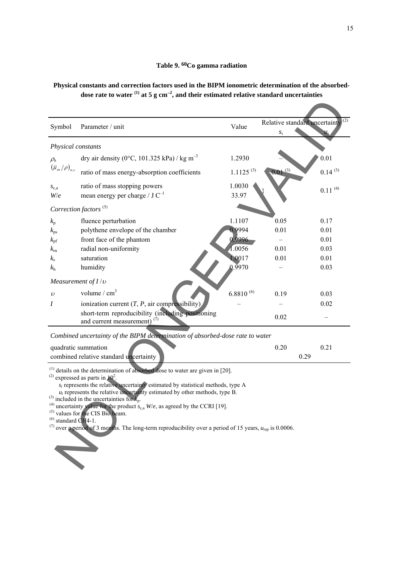### **Table 9. 60Co gamma radiation**

### **Physical constants and correction factors used in the BIPM ionometric determination of the absorbeddose rate to water (1) at 5 g cm**<sup>−</sup>**<sup>2</sup> , and their estimated relative standard uncertainties**

| Symbol                                                                                                                                                                                                                                                                                                                                                                                                                                                                                                                                                                                                                                                                                                                        | Parameter / unit                                                                                                                                                                                                                                                                                                                                                                                                       | Value                                                                      | $S_1$                                        | Relative standard uncertainty $\frac{2}{(2)}$                |  |
|-------------------------------------------------------------------------------------------------------------------------------------------------------------------------------------------------------------------------------------------------------------------------------------------------------------------------------------------------------------------------------------------------------------------------------------------------------------------------------------------------------------------------------------------------------------------------------------------------------------------------------------------------------------------------------------------------------------------------------|------------------------------------------------------------------------------------------------------------------------------------------------------------------------------------------------------------------------------------------------------------------------------------------------------------------------------------------------------------------------------------------------------------------------|----------------------------------------------------------------------------|----------------------------------------------|--------------------------------------------------------------|--|
| Physical constants                                                                                                                                                                                                                                                                                                                                                                                                                                                                                                                                                                                                                                                                                                            |                                                                                                                                                                                                                                                                                                                                                                                                                        |                                                                            |                                              |                                                              |  |
| $\rho_{\rm a}$                                                                                                                                                                                                                                                                                                                                                                                                                                                                                                                                                                                                                                                                                                                | dry air density (0°C, 101.325 kPa) / kg m <sup>-3</sup>                                                                                                                                                                                                                                                                                                                                                                | 1.2930                                                                     |                                              | 0.01                                                         |  |
| $\left(\overline{\mu}_{\scriptscriptstyle{\text{en}}}\left/\rho\right)_{\!\scriptscriptstyle{\text{w,c}}}\right.$                                                                                                                                                                                                                                                                                                                                                                                                                                                                                                                                                                                                             | ratio of mass energy-absorption coefficients                                                                                                                                                                                                                                                                                                                                                                           | $1.1125^{(3)}$                                                             | $0.01^{(3)}$                                 | $0.14^{(3)}$                                                 |  |
| $S_{c,a}$<br>W/e                                                                                                                                                                                                                                                                                                                                                                                                                                                                                                                                                                                                                                                                                                              | ratio of mass stopping powers<br>mean energy per charge / $J C^{-1}$                                                                                                                                                                                                                                                                                                                                                   | 1.0030<br>33.97                                                            |                                              | $0.11^{(4)}$                                                 |  |
|                                                                                                                                                                                                                                                                                                                                                                                                                                                                                                                                                                                                                                                                                                                               | Correction factors <sup>(5)</sup>                                                                                                                                                                                                                                                                                                                                                                                      |                                                                            |                                              |                                                              |  |
| $k_{p}$<br>$k_{\rm ps}$<br>$k_{\rm pf}$<br>$k_{\rm rh}$<br>$k_{\rm s}$<br>$k_{\rm h}$<br>$\upsilon$<br>I                                                                                                                                                                                                                                                                                                                                                                                                                                                                                                                                                                                                                      | fluence perturbation<br>polythene envelope of the chamber<br>front face of the phantom<br>radial non-uniformity<br>saturation<br>humidity<br>Measurement of $I/v$<br>volume / $cm3$<br>ionization current $(T, P, \text{air compressibility})$<br>short-term reproducibility (including positioning<br>and current measurement) $(7)$<br>Combined uncertainty of the BIPM determination of absorbed-dose rate to water | 1.1107<br>0.9994<br>0.9996<br>1.0056<br>1.0017<br>0.9970<br>$6.8810^{(6)}$ | 0.05<br>0.01<br>0.01<br>0.01<br>0.19<br>0.02 | 0.17<br>0.01<br>0.01<br>0.03<br>0.01<br>0.03<br>0.03<br>0.02 |  |
|                                                                                                                                                                                                                                                                                                                                                                                                                                                                                                                                                                                                                                                                                                                               | quadratic summation                                                                                                                                                                                                                                                                                                                                                                                                    |                                                                            | 0.20                                         | 0.21                                                         |  |
| combined relative standard uncertainty<br>0.29<br>$(1)$ details on the determination of absorbed dose to water are given in [20].<br>$^{(2)}$ expressed as parts in $10^2$ .<br>$s_i$ represents the relative uncertainty estimated by statistical methods, type A<br>$u_i$ represents the relative uncertainty estimated by other methods, type B.<br><sup>(3)</sup> included in the <u>uncertainties</u> for $\vec{k}_p$ .<br><sup>(4)</sup> uncertainty value for the product $S_{c,a}$ W/e, as agreed by the CCRI [19].<br>(5) values for the CIS Bio beam.<br>$^{(6)}$ standard CH4-1.<br><sup>(7)</sup> over a period of 3 months. The long-term reproducibility over a period of 15 years, $u_{\text{ren}}$ is 0.0006. |                                                                                                                                                                                                                                                                                                                                                                                                                        |                                                                            |                                              |                                                              |  |

| quadratic summation                    |  |  |
|----------------------------------------|--|--|
| combined relative standard uncertainty |  |  |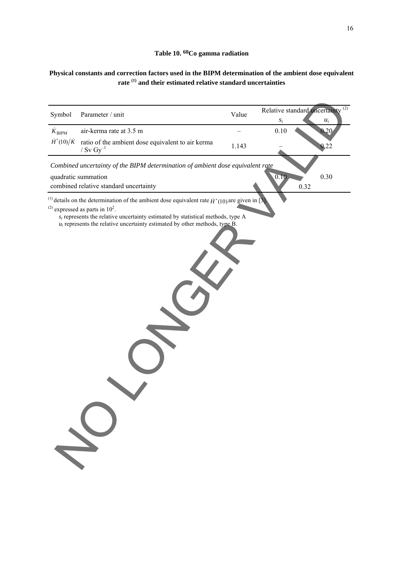# **Table 10. 60Co gamma radiation**

# **Physical constants and correction factors used in the BIPM determination of the ambient dose equivalent rate (1) and their estimated relative standard uncertainties**

| Symbol                  | Parameter / unit                                                                                                                                                                                                                                                                                                                  | Value | Relative standard uncertainty <sup>(2)</sup><br>$\boldsymbol{S}_{1}$ |      | $u_i$ |
|-------------------------|-----------------------------------------------------------------------------------------------------------------------------------------------------------------------------------------------------------------------------------------------------------------------------------------------------------------------------------|-------|----------------------------------------------------------------------|------|-------|
| ${\dot K}_{\rm BIPM}$   | air-kerma rate at 3.5 m                                                                                                                                                                                                                                                                                                           |       | 0.10                                                                 |      | 0.20  |
| $\dot{H}^*(10)/\dot{K}$ | ratio of the ambient dose equivalent to air kerma<br>/ $Sv$ $Gy^{-1}$                                                                                                                                                                                                                                                             | 1.143 |                                                                      |      | 0,22  |
|                         | Combined uncertainty of the BIPM determination of ambient dose equivalent rate                                                                                                                                                                                                                                                    |       |                                                                      |      |       |
|                         | quadratic summation<br>combined relative standard uncertainty                                                                                                                                                                                                                                                                     |       | 0.10                                                                 | 0.32 | 0.30  |
|                         | <sup>(1)</sup> details on the determination of the ambient dose equivalent rate $\dot{H}^*(10)$ are given in [3]<br>$^{(2)}$ expressed as parts in $102$ .<br>$s_i$ represents the relative uncertainty estimated by statistical methods, type A<br>$u_i$ represents the relative uncertainty estimated by other methods, type B. |       |                                                                      |      |       |
|                         |                                                                                                                                                                                                                                                                                                                                   |       |                                                                      |      |       |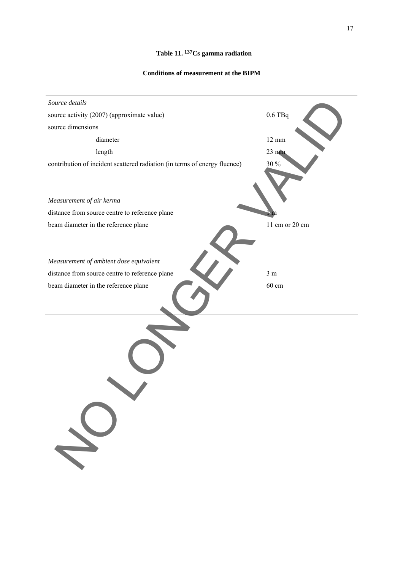# **Table 11. 137Cs gamma radiation**

### **Conditions of measurement at the BIPM**

| Source details                                                            |                 |
|---------------------------------------------------------------------------|-----------------|
| source activity (2007) (approximate value)                                | $0.6$ TBq       |
| source dimensions                                                         |                 |
| diameter                                                                  | $12 \text{ mm}$ |
| length                                                                    | $23 \text{ mm}$ |
| contribution of incident scattered radiation (in terms of energy fluence) | 30 %            |
|                                                                           |                 |
|                                                                           |                 |
| Measurement of air kerma                                                  |                 |
| distance from source centre to reference plane                            |                 |
| beam diameter in the reference plane                                      | 11 cm or 20 cm  |
|                                                                           |                 |
|                                                                           |                 |
| Measurement of ambient dose equivalent                                    |                 |
| distance from source centre to reference plane                            | 3 <sub>m</sub>  |
| beam diameter in the reference plane                                      | 60 cm           |
|                                                                           |                 |
|                                                                           |                 |
|                                                                           |                 |
|                                                                           |                 |
|                                                                           |                 |
|                                                                           |                 |
|                                                                           |                 |
|                                                                           |                 |
|                                                                           |                 |
|                                                                           |                 |
|                                                                           |                 |
|                                                                           |                 |
|                                                                           |                 |
|                                                                           |                 |
|                                                                           |                 |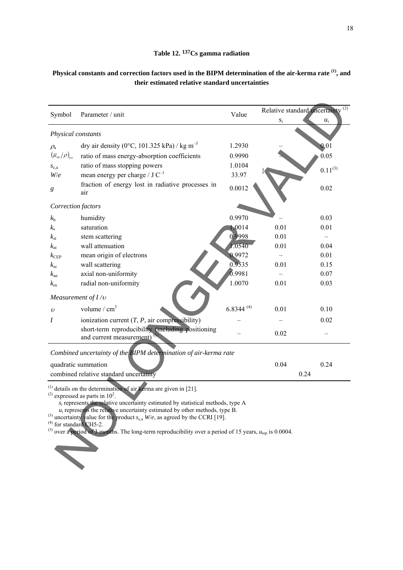### **Table 12. 137Cs gamma radiation**

# **Physical constants and correction factors used in the BIPM determination of the air-kerma rate (1), and their estimated relative standard uncertainties**

| Symbol                                                                      | Parameter / unit                                                                                                                                                                                                                                                                                                                                                                                                                                                                                                                                         | Value          | Relative standard uncertainty <sup>(2)</sup> |              |  |  |  |
|-----------------------------------------------------------------------------|----------------------------------------------------------------------------------------------------------------------------------------------------------------------------------------------------------------------------------------------------------------------------------------------------------------------------------------------------------------------------------------------------------------------------------------------------------------------------------------------------------------------------------------------------------|----------------|----------------------------------------------|--------------|--|--|--|
|                                                                             |                                                                                                                                                                                                                                                                                                                                                                                                                                                                                                                                                          |                | $S_1$                                        | $u_i$        |  |  |  |
| Physical constants                                                          |                                                                                                                                                                                                                                                                                                                                                                                                                                                                                                                                                          |                |                                              |              |  |  |  |
| $\rho_{\rm a}$                                                              | dry air density (0°C, 101.325 kPa) / kg m <sup>-3</sup>                                                                                                                                                                                                                                                                                                                                                                                                                                                                                                  | 1.2930         |                                              | 0.01         |  |  |  |
| $\left(\overline{\mu}_{\textrm{\tiny en}}/\rho\right)_{\textrm{\tiny a,c}}$ | ratio of mass energy-absorption coefficients                                                                                                                                                                                                                                                                                                                                                                                                                                                                                                             | 0.9990         |                                              | 0.05         |  |  |  |
| $S_{c,a}$                                                                   | ratio of mass stopping powers                                                                                                                                                                                                                                                                                                                                                                                                                                                                                                                            | 1.0104         |                                              | $0.11^{(3)}$ |  |  |  |
| W/e                                                                         | mean energy per charge / $J C^{-1}$                                                                                                                                                                                                                                                                                                                                                                                                                                                                                                                      | 33.97          |                                              |              |  |  |  |
| g                                                                           | fraction of energy lost in radiative processes in<br>air                                                                                                                                                                                                                                                                                                                                                                                                                                                                                                 | 0.0012         |                                              | 0.02         |  |  |  |
| Correction factors                                                          |                                                                                                                                                                                                                                                                                                                                                                                                                                                                                                                                                          |                |                                              |              |  |  |  |
| $k_{\rm h}$                                                                 | humidity                                                                                                                                                                                                                                                                                                                                                                                                                                                                                                                                                 | 0.9970         |                                              | 0.03         |  |  |  |
| $k_{\rm s}$                                                                 | saturation                                                                                                                                                                                                                                                                                                                                                                                                                                                                                                                                               | 1.0014         | 0.01                                         | 0.01         |  |  |  |
| $k_{\rm st}$                                                                | stem scattering                                                                                                                                                                                                                                                                                                                                                                                                                                                                                                                                          | 0.9998         | 0.01                                         |              |  |  |  |
| $k_{\rm at}$                                                                | wall attenuation                                                                                                                                                                                                                                                                                                                                                                                                                                                                                                                                         | 1.0540         | 0.01                                         | 0.04         |  |  |  |
| $k_{\rm CEP}$                                                               | mean origin of electrons                                                                                                                                                                                                                                                                                                                                                                                                                                                                                                                                 | 0.9972         |                                              | 0.01         |  |  |  |
| $k_{\rm sc}$                                                                | wall scattering                                                                                                                                                                                                                                                                                                                                                                                                                                                                                                                                          | 0.9535         | 0.01                                         | 0.15         |  |  |  |
| $k_{\rm an}$                                                                | axial non-uniformity                                                                                                                                                                                                                                                                                                                                                                                                                                                                                                                                     | 0.9981         |                                              | 0.07         |  |  |  |
| $k_{\rm rh}$                                                                | radial non-uniformity                                                                                                                                                                                                                                                                                                                                                                                                                                                                                                                                    | 1.0070         | 0.01                                         | 0.03         |  |  |  |
| Measurement of $I/v$                                                        |                                                                                                                                                                                                                                                                                                                                                                                                                                                                                                                                                          |                |                                              |              |  |  |  |
| $\upsilon$                                                                  | volume / $cm3$                                                                                                                                                                                                                                                                                                                                                                                                                                                                                                                                           | $6.8344^{(4)}$ | 0.01                                         | 0.10         |  |  |  |
| I                                                                           | ionization current $(T, P, \text{air compressibility})$                                                                                                                                                                                                                                                                                                                                                                                                                                                                                                  |                |                                              | 0.02         |  |  |  |
|                                                                             | short-term reproducibility (including positioning                                                                                                                                                                                                                                                                                                                                                                                                                                                                                                        |                | 0.02                                         |              |  |  |  |
|                                                                             | and current measurement) <sup>(5)</sup>                                                                                                                                                                                                                                                                                                                                                                                                                                                                                                                  |                |                                              |              |  |  |  |
| Combined uncertainty of the BIPM determination of air-kerma rate            |                                                                                                                                                                                                                                                                                                                                                                                                                                                                                                                                                          |                |                                              |              |  |  |  |
| quadratic summation                                                         |                                                                                                                                                                                                                                                                                                                                                                                                                                                                                                                                                          |                | 0.04                                         | 0.24         |  |  |  |
| combined relative standard uncertainty                                      |                                                                                                                                                                                                                                                                                                                                                                                                                                                                                                                                                          |                | 0.24                                         |              |  |  |  |
|                                                                             | $^{(1)}$ details on the determination of air kerma are given in [21].<br>$^{(2)}$ expressed as parts in 10 <sup>2</sup> .<br>$s_i$ represents the relative uncertainty estimated by statistical methods, type A<br>$u_i$ represents the relative uncertainty estimated by other methods, type B.<br><sup>(3)</sup> uncertainty value for the product $s_{c,a}$ W/e, as agreed by the CCRI [19].<br>for standard CH5-2.<br><sup>(5)</sup> over a period of 3 months. The long-term reproducibility over a period of 15 years, $u_{\text{rep}}$ is 0.0004. |                |                                              |              |  |  |  |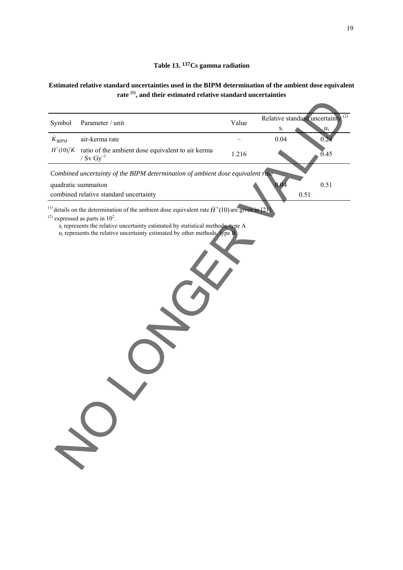# **Table 13. 137Cs gamma radiation**

# **Estimated relative standard uncertainties used in the BIPM determination of the ambient dose equivalent rate (1), and their estimated relative standard uncertainties**

| Symbol                                                                                                                                                                                                                                                                                                                                           | Parameter / unit                                                                      | Value |                     | (2)<br>Relative standard uncertainty |  |  |
|--------------------------------------------------------------------------------------------------------------------------------------------------------------------------------------------------------------------------------------------------------------------------------------------------------------------------------------------------|---------------------------------------------------------------------------------------|-------|---------------------|--------------------------------------|--|--|
| $K_{\rm BIPM}$                                                                                                                                                                                                                                                                                                                                   | air-kerma rate                                                                        |       | $S_{\rm 1}$<br>0.04 | $u_i$<br>0.24                        |  |  |
| $\dot{H}^*(10)/\dot{K}$                                                                                                                                                                                                                                                                                                                          | ratio of the ambient dose equivalent to air kerma<br>/ $\mathrm{Sv}~\mathrm{Gy}^{-1}$ | 1.216 |                     | 0.45                                 |  |  |
|                                                                                                                                                                                                                                                                                                                                                  | Combined uncertainty of the BIPM determination of ambient dose equivalent rate        |       |                     |                                      |  |  |
|                                                                                                                                                                                                                                                                                                                                                  | quadratic summation<br>combined relative standard uncertainty                         |       |                     | 0.51<br>0.51                         |  |  |
| <sup>(1)</sup> details on the determination of the ambient dose equivalent rate $\dot{H}^*(10)$ are given in [21].<br>$^{(2)}$ expressed as parts in 10 <sup>2</sup> .<br>$s_i$ represents the relative uncertainty estimated by statistical methods, type A<br>$u_i$ represents the relative uncertainty estimated by other methods, type $B$ . |                                                                                       |       |                     |                                      |  |  |